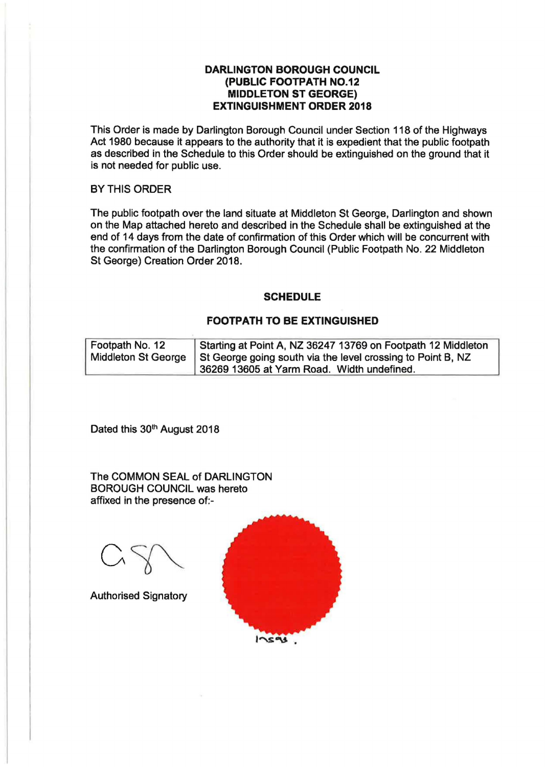## **DARLINGTON BOROUGH COUNCIL (PUBLIC FOOTPATH NO.12 MIDDLETON ST GEORGE) EXTINGUISHMENT ORDER 2018**

This Order is made by Darlington Borough Council under Section 118 of the Highways Act 1980 because it appears to the authority that it is expedient that the public footpath as described in the Schedule to this Order should be extinguished on the ground that it is not needed for public use.

## BY THIS ORDER

The public footpath over the land situate at Middleton St George, Darlington and shown on the Map attached hereto and described in the Schedule shall be extinguished at the end of 14 days from the date of confirmation of this Order which will be concurrent with the confirmation of the Darlington Borough Council (Public Footpath No. 22 Middleton St George) Creation Order 2018.

## **SCHEDULE**

## **FOOTPATH TO BE EXTINGUISHED**

| Footpath No. 12 | Starting at Point A, NZ 36247 13769 on Footpath 12 Middleton                      |
|-----------------|-----------------------------------------------------------------------------------|
|                 | Middleton St George   St George going south via the level crossing to Point B, NZ |
|                 | 36269 13605 at Yarm Road. Width undefined.                                        |

Dated this 30<sup>th</sup> August 2018

The COMMON SEAL of DARLINGTON BOROUGH COUNCIL was hereto affixed in the presence of:-

Authorised Signatory

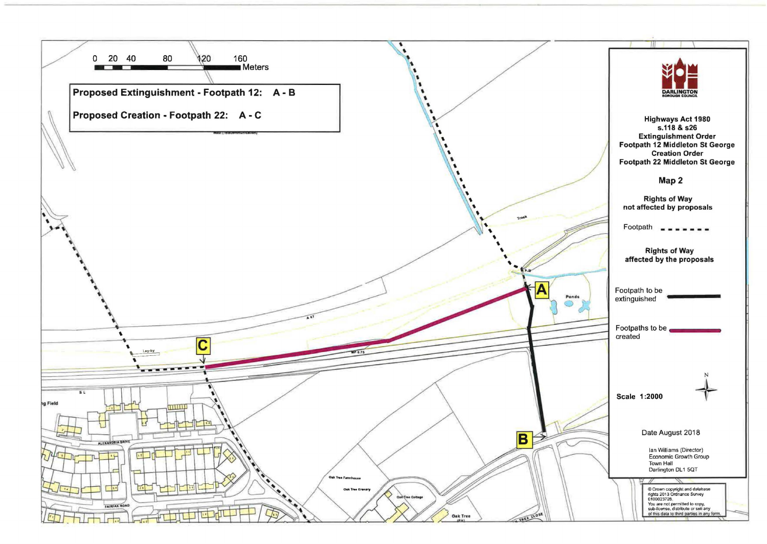